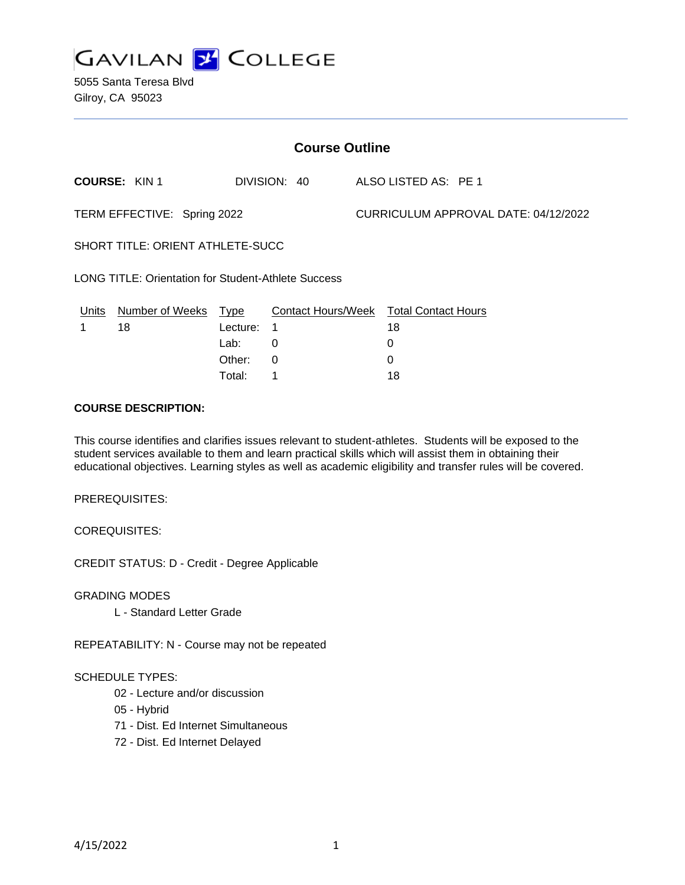

| <b>Course Outline</b>                               |                      |          |              |                                      |                                        |
|-----------------------------------------------------|----------------------|----------|--------------|--------------------------------------|----------------------------------------|
|                                                     | <b>COURSE: KIN1</b>  |          | DIVISION: 40 |                                      | ALSO LISTED AS: PE 1                   |
| TERM EFFECTIVE: Spring 2022                         |                      |          |              | CURRICULUM APPROVAL DATE: 04/12/2022 |                                        |
| SHORT TITLE: ORIENT ATHLETE-SUCC                    |                      |          |              |                                      |                                        |
| LONG TITLE: Orientation for Student-Athlete Success |                      |          |              |                                      |                                        |
| Units                                               | Number of Weeks Type |          |              |                                      | Contact Hours/Week Total Contact Hours |
|                                                     | 18                   | Lecture: | 1            |                                      | 18                                     |
|                                                     |                      | Lab:     | 0            |                                      | 0                                      |
|                                                     |                      | Other:   | 0            |                                      | 0                                      |
|                                                     |                      | Total:   | 1            |                                      | 18                                     |

#### **COURSE DESCRIPTION:**

This course identifies and clarifies issues relevant to student-athletes. Students will be exposed to the student services available to them and learn practical skills which will assist them in obtaining their educational objectives. Learning styles as well as academic eligibility and transfer rules will be covered.

PREREQUISITES:

COREQUISITES:

CREDIT STATUS: D - Credit - Degree Applicable

GRADING MODES

L - Standard Letter Grade

REPEATABILITY: N - Course may not be repeated

#### SCHEDULE TYPES:

- 02 Lecture and/or discussion
- 05 Hybrid
- 71 Dist. Ed Internet Simultaneous
- 72 Dist. Ed Internet Delayed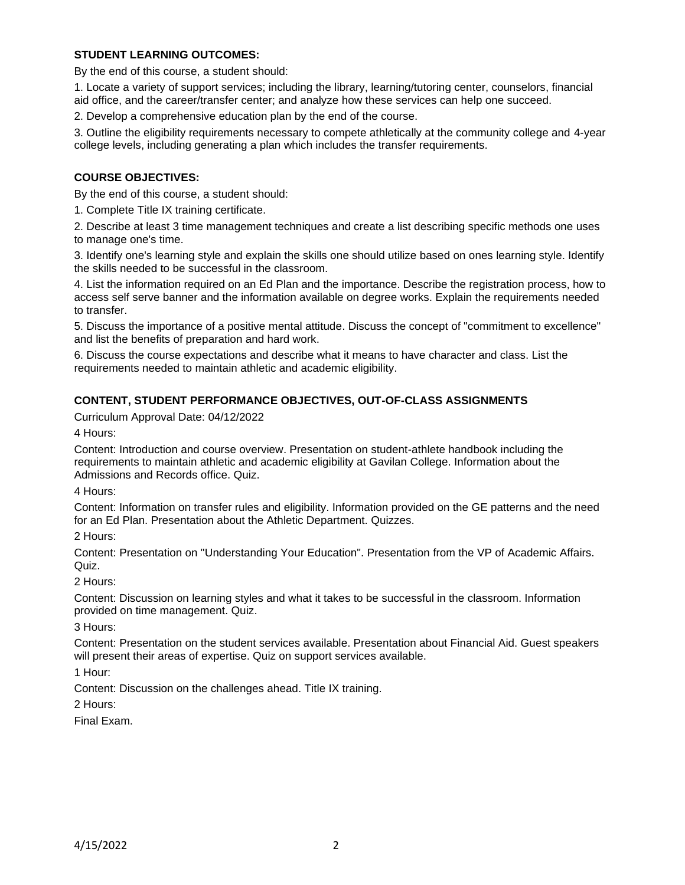## **STUDENT LEARNING OUTCOMES:**

By the end of this course, a student should:

1. Locate a variety of support services; including the library, learning/tutoring center, counselors, financial aid office, and the career/transfer center; and analyze how these services can help one succeed.

2. Develop a comprehensive education plan by the end of the course.

3. Outline the eligibility requirements necessary to compete athletically at the community college and 4-year college levels, including generating a plan which includes the transfer requirements.

#### **COURSE OBJECTIVES:**

By the end of this course, a student should:

1. Complete Title IX training certificate.

2. Describe at least 3 time management techniques and create a list describing specific methods one uses to manage one's time.

3. Identify one's learning style and explain the skills one should utilize based on ones learning style. Identify the skills needed to be successful in the classroom.

4. List the information required on an Ed Plan and the importance. Describe the registration process, how to access self serve banner and the information available on degree works. Explain the requirements needed to transfer.

5. Discuss the importance of a positive mental attitude. Discuss the concept of "commitment to excellence" and list the benefits of preparation and hard work.

6. Discuss the course expectations and describe what it means to have character and class. List the requirements needed to maintain athletic and academic eligibility.

#### **CONTENT, STUDENT PERFORMANCE OBJECTIVES, OUT-OF-CLASS ASSIGNMENTS**

Curriculum Approval Date: 04/12/2022

4 Hours:

Content: Introduction and course overview. Presentation on student-athlete handbook including the requirements to maintain athletic and academic eligibility at Gavilan College. Information about the Admissions and Records office. Quiz.

4 Hours:

Content: Information on transfer rules and eligibility. Information provided on the GE patterns and the need for an Ed Plan. Presentation about the Athletic Department. Quizzes.

2 Hours:

Content: Presentation on "Understanding Your Education". Presentation from the VP of Academic Affairs. Quiz.

#### 2 Hours:

Content: Discussion on learning styles and what it takes to be successful in the classroom. Information provided on time management. Quiz.

3 Hours:

Content: Presentation on the student services available. Presentation about Financial Aid. Guest speakers will present their areas of expertise. Quiz on support services available.

1 Hour:

Content: Discussion on the challenges ahead. Title IX training.

2 Hours:

Final Exam.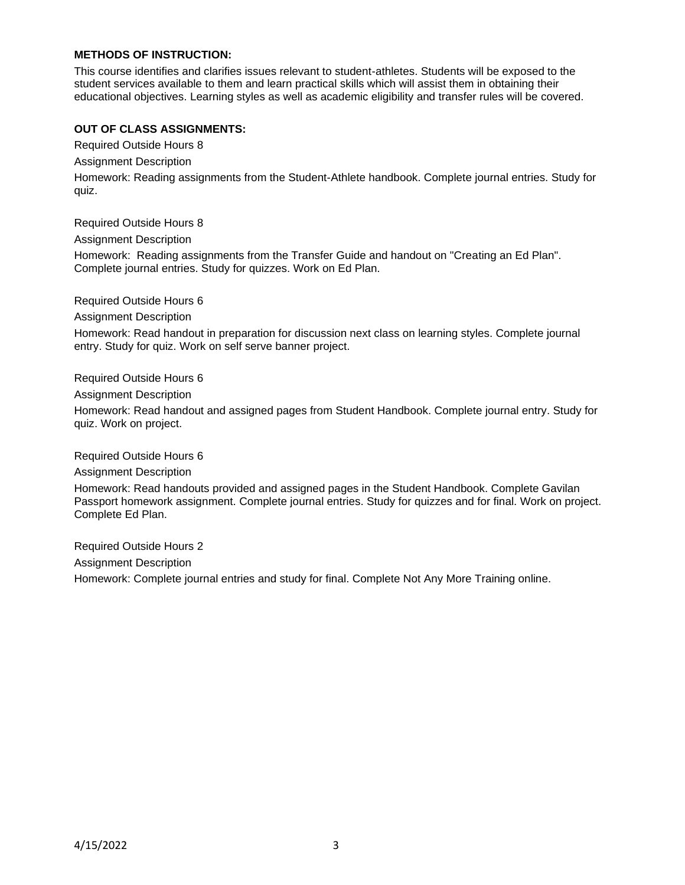## **METHODS OF INSTRUCTION:**

This course identifies and clarifies issues relevant to student-athletes. Students will be exposed to the student services available to them and learn practical skills which will assist them in obtaining their educational objectives. Learning styles as well as academic eligibility and transfer rules will be covered.

## **OUT OF CLASS ASSIGNMENTS:**

Required Outside Hours 8

Assignment Description

Homework: Reading assignments from the Student-Athlete handbook. Complete journal entries. Study for quiz.

Required Outside Hours 8

Assignment Description

Homework: Reading assignments from the Transfer Guide and handout on "Creating an Ed Plan". Complete journal entries. Study for quizzes. Work on Ed Plan.

Required Outside Hours 6

Assignment Description

Homework: Read handout in preparation for discussion next class on learning styles. Complete journal entry. Study for quiz. Work on self serve banner project.

Required Outside Hours 6

Assignment Description

Homework: Read handout and assigned pages from Student Handbook. Complete journal entry. Study for quiz. Work on project.

Required Outside Hours 6

Assignment Description

Homework: Read handouts provided and assigned pages in the Student Handbook. Complete Gavilan Passport homework assignment. Complete journal entries. Study for quizzes and for final. Work on project. Complete Ed Plan.

Required Outside Hours 2 Assignment Description Homework: Complete journal entries and study for final. Complete Not Any More Training online.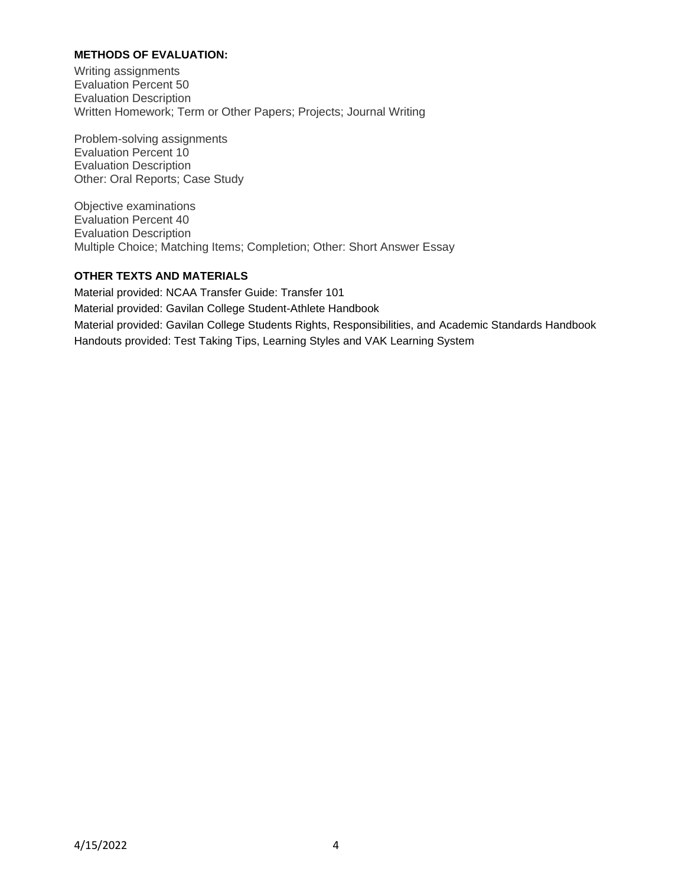## **METHODS OF EVALUATION:**

Writing assignments Evaluation Percent 50 Evaluation Description Written Homework; Term or Other Papers; Projects; Journal Writing

Problem-solving assignments Evaluation Percent 10 Evaluation Description Other: Oral Reports; Case Study

Objective examinations Evaluation Percent 40 Evaluation Description Multiple Choice; Matching Items; Completion; Other: Short Answer Essay

# **OTHER TEXTS AND MATERIALS**

Material provided: NCAA Transfer Guide: Transfer 101 Material provided: Gavilan College Student-Athlete Handbook Material provided: Gavilan College Students Rights, Responsibilities, and Academic Standards Handbook Handouts provided: Test Taking Tips, Learning Styles and VAK Learning System